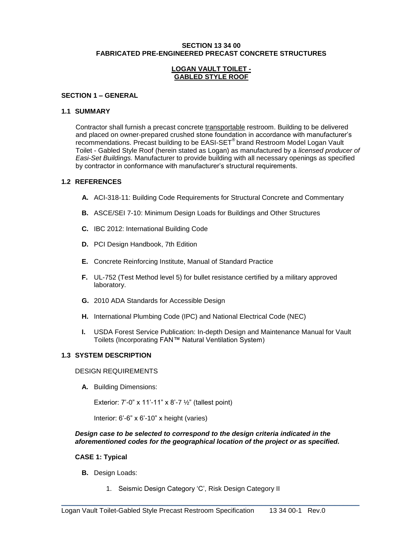#### **SECTION 13 34 00 FABRICATED PRE-ENGINEERED PRECAST CONCRETE STRUCTURES**

### **LOGAN VAULT TOILET - GABLED STYLE ROOF**

### **SECTION 1 – GENERAL**

### **1.1 SUMMARY**

Contractor shall furnish a precast concrete transportable restroom. Building to be delivered and placed on owner-prepared crushed stone foundation in accordance with manufacturer's recommendations. Precast building to be EASI-SET® brand Restroom Model Logan Vault Toilet - Gabled Style Roof (herein stated as Logan) as manufactured by a *licensed producer of Easi-Set Buildings.* Manufacturer to provide building with all necessary openings as specified by contractor in conformance with manufacturer's structural requirements.

### **1.2 REFERENCES**

- **A.** ACI-318-11: Building Code Requirements for Structural Concrete and Commentary
- **B.** ASCE/SEI 7-10: Minimum Design Loads for Buildings and Other Structures
- **C.** IBC 2012: International Building Code
- **D.** PCI Design Handbook, 7th Edition
- **E.** Concrete Reinforcing Institute, Manual of Standard Practice
- **F.** UL-752 (Test Method level 5) for bullet resistance certified by a military approved laboratory.
- **G.** 2010 ADA Standards for Accessible Design
- **H.** International Plumbing Code (IPC) and National Electrical Code (NEC)
- **I.** USDA Forest Service Publication: In-depth Design and Maintenance Manual for Vault Toilets (Incorporating FAN™ Natural Ventilation System)

### **1.3 SYSTEM DESCRIPTION**

### DESIGN REQUIREMENTS

**A.** Building Dimensions:

Exterior: 7'-0" x 11'-11" x 8'-7 ½" (tallest point)

Interior: 6'-6" x 6'-10" x height (varies)

### *Design case to be selected to correspond to the design criteria indicated in the aforementioned codes for the geographical location of the project or as specified.*

\_\_\_\_\_\_\_\_\_\_\_\_\_\_\_\_\_\_\_\_\_\_\_\_\_\_\_\_\_\_\_\_\_\_\_\_\_\_\_\_\_\_\_\_\_\_\_\_\_\_\_\_\_\_\_\_\_\_\_\_\_\_\_\_\_\_\_\_\_\_\_\_\_

# **CASE 1: Typical**

- **B.** Design Loads:
	- 1. Seismic Design Category 'C', Risk Design Category II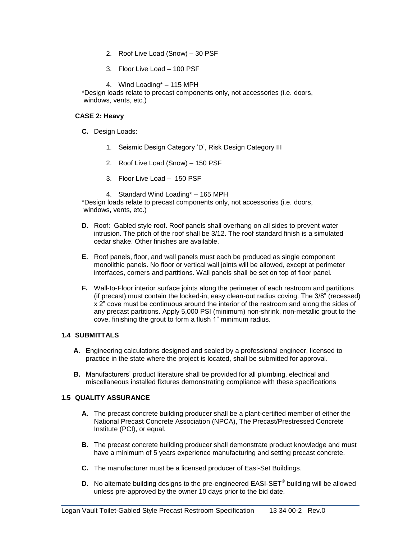- 2. Roof Live Load (Snow) 30 PSF
- 3. Floor Live Load 100 PSF
- 4. Wind Loading\* 115 MPH

\*Design loads relate to precast components only, not accessories (i.e. doors, windows, vents, etc.)

### **CASE 2: Heavy**

- **C.** Design Loads:
	- 1. Seismic Design Category 'D', Risk Design Category III
	- 2. Roof Live Load (Snow) 150 PSF
	- 3. Floor Live Load 150 PSF
	- 4. Standard Wind Loading\* 165 MPH

\*Design loads relate to precast components only, not accessories (i.e. doors, windows, vents, etc.)

- **D.** Roof: Gabled style roof. Roof panels shall overhang on all sides to prevent water intrusion. The pitch of the roof shall be 3/12. The roof standard finish is a simulated cedar shake. Other finishes are available.
- **E.** Roof panels, floor, and wall panels must each be produced as single component monolithic panels. No floor or vertical wall joints will be allowed, except at perimeter interfaces, corners and partitions. Wall panels shall be set on top of floor panel.
- **F.** Wall-to-Floor interior surface joints along the perimeter of each restroom and partitions (if precast) must contain the locked-in, easy clean-out radius coving. The 3/8" (recessed) x 2" cove must be continuous around the interior of the restroom and along the sides of any precast partitions. Apply 5,000 PSI (minimum) non-shrink, non-metallic grout to the cove, finishing the grout to form a flush 1" minimum radius.

# **1.4 SUBMITTALS**

- **A.** Engineering calculations designed and sealed by a professional engineer, licensed to practice in the state where the project is located, shall be submitted for approval.
- **B.** Manufacturers' product literature shall be provided for all plumbing, electrical and miscellaneous installed fixtures demonstrating compliance with these specifications

# **1.5 QUALITY ASSURANCE**

- **A.** The precast concrete building producer shall be a plant-certified member of either the National Precast Concrete Association (NPCA), The Precast/Prestressed Concrete Institute (PCI), or equal.
- **B.** The precast concrete building producer shall demonstrate product knowledge and must have a minimum of 5 years experience manufacturing and setting precast concrete.
- **C.** The manufacturer must be a licensed producer of Easi-Set Buildings.
- **D.** No alternate building designs to the pre-engineered EASI-SET**®** building will be allowed unless pre-approved by the owner 10 days prior to the bid date.

\_\_\_\_\_\_\_\_\_\_\_\_\_\_\_\_\_\_\_\_\_\_\_\_\_\_\_\_\_\_\_\_\_\_\_\_\_\_\_\_\_\_\_\_\_\_\_\_\_\_\_\_\_\_\_\_\_\_\_\_\_\_\_\_\_\_\_\_\_\_\_\_\_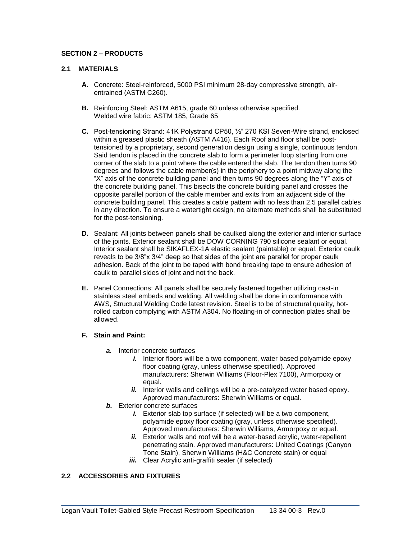# **SECTION 2 – PRODUCTS**

### **2.1 MATERIALS**

- **A.** Concrete: Steel-reinforced, 5000 PSI minimum 28-day compressive strength, airentrained (ASTM C260).
- **B.** Reinforcing Steel: ASTM A615, grade 60 unless otherwise specified. Welded wire fabric: ASTM 185, Grade 65
- **C.** Post-tensioning Strand: 41K Polystrand CP50, ½" 270 KSI Seven-Wire strand, enclosed within a greased plastic sheath (ASTM A416). Each Roof and floor shall be posttensioned by a proprietary, second generation design using a single, continuous tendon. Said tendon is placed in the concrete slab to form a perimeter loop starting from one corner of the slab to a point where the cable entered the slab. The tendon then turns 90 degrees and follows the cable member(s) in the periphery to a point midway along the "X" axis of the concrete building panel and then turns 90 degrees along the "Y" axis of the concrete building panel. This bisects the concrete building panel and crosses the opposite parallel portion of the cable member and exits from an adjacent side of the concrete building panel. This creates a cable pattern with no less than 2.5 parallel cables in any direction. To ensure a watertight design, no alternate methods shall be substituted for the post-tensioning.
- **D.** Sealant: All joints between panels shall be caulked along the exterior and interior surface of the joints. Exterior sealant shall be DOW CORNING 790 silicone sealant or equal. Interior sealant shall be SIKAFLEX-1A elastic sealant (paintable) or equal. Exterior caulk reveals to be 3/8"x 3/4" deep so that sides of the joint are parallel for proper caulk adhesion. Back of the joint to be taped with bond breaking tape to ensure adhesion of caulk to parallel sides of joint and not the back.
- **E.** Panel Connections: All panels shall be securely fastened together utilizing cast-in stainless steel embeds and welding. All welding shall be done in conformance with AWS, Structural Welding Code latest revision. Steel is to be of structural quality, hotrolled carbon complying with ASTM A304. No floating-in of connection plates shall be allowed.

### **F. Stain and Paint:**

- *a.* Interior concrete surfaces
	- *i.* Interior floors will be a two component, water based polyamide epoxy floor coating (gray, unless otherwise specified). Approved manufacturers: Sherwin Williams (Floor-Plex 7100), Armorpoxy or equal.
	- *ii.* Interior walls and ceilings will be a pre-catalyzed water based epoxy. Approved manufacturers: Sherwin Williams or equal.
- *b.* Exterior concrete surfaces
	- *i.* Exterior slab top surface (if selected) will be a two component, polyamide epoxy floor coating (gray, unless otherwise specified). Approved manufacturers: Sherwin Williams, Armorpoxy or equal.
	- *ii.* Exterior walls and roof will be a water-based acrylic, water-repellent penetrating stain. Approved manufacturers: United Coatings (Canyon Tone Stain), Sherwin Williams (H&C Concrete stain) or equal
	- *iii.* Clear Acrylic anti-graffiti sealer (if selected)

\_\_\_\_\_\_\_\_\_\_\_\_\_\_\_\_\_\_\_\_\_\_\_\_\_\_\_\_\_\_\_\_\_\_\_\_\_\_\_\_\_\_\_\_\_\_\_\_\_\_\_\_\_\_\_\_\_\_\_\_\_\_\_\_\_\_\_\_\_\_\_\_\_

# **2.2 ACCESSORIES AND FIXTURES**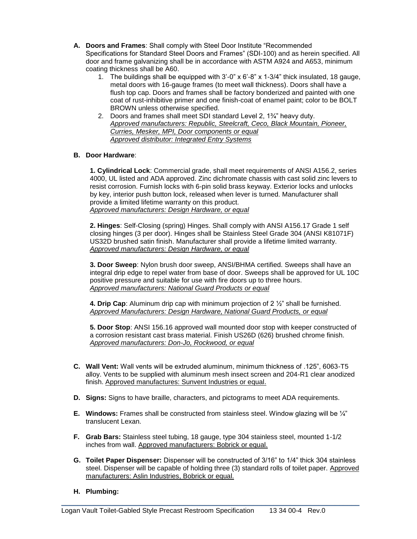- **A. Doors and Frames**: Shall comply with Steel Door Institute "Recommended Specifications for Standard Steel Doors and Frames" (SDI-100) and as herein specified. All door and frame galvanizing shall be in accordance with ASTM A924 and A653, minimum coating thickness shall be A60.
	- 1. The buildings shall be equipped with 3'-0" x 6'-8" x 1-3/4" thick insulated, 18 gauge, metal doors with 16-gauge frames (to meet wall thickness). Doors shall have a flush top cap. Doors and frames shall be factory bonderized and painted with one coat of rust-inhibitive primer and one finish-coat of enamel paint; color to be BOLT BROWN unless otherwise specified.
	- 2. Doors and frames shall meet SDI standard Level 2, 1¾" heavy duty. *Approved manufacturers: Republic, Steelcraft, Ceco, Black Mountain, Pioneer, Curries, Mesker, MPI, Door components or equal Approved distributor: Integrated Entry Systems*

# **B. Door Hardware**:

**1. Cylindrical Lock**: Commercial grade, shall meet requirements of ANSI A156.2, series 4000, UL listed and ADA approved. Zinc dichromate chassis with cast solid zinc levers to resist corrosion. Furnish locks with 6-pin solid brass keyway. Exterior locks and unlocks by key, interior push button lock, released when lever is turned. Manufacturer shall provide a limited lifetime warranty on this product. *Approved manufacturers: Design Hardware, or equal*

**2. Hinges**: Self-Closing (spring) Hinges. Shall comply with ANSI A156.17 Grade 1 self closing hinges (3 per door). Hinges shall be Stainless Steel Grade 304 (ANSI K81071F) US32D brushed satin finish. Manufacturer shall provide a lifetime limited warranty. *Approved manufacturers: Design Hardware, or equal*

**3. Door Sweep**: Nylon brush door sweep, ANSI/BHMA certified. Sweeps shall have an integral drip edge to repel water from base of door. Sweeps shall be approved for UL 10C positive pressure and suitable for use with fire doors up to three hours. *Approved manufacturers: National Guard Products or equal*

**4. Drip Cap**: Aluminum drip cap with minimum projection of 2 ½" shall be furnished. *Approved Manufacturers: Design Hardware, National Guard Products, or equal*

**5. Door Stop**: ANSI 156.16 approved wall mounted door stop with keeper constructed of a corrosion resistant cast brass material. Finish US26D (626) brushed chrome finish. *Approved manufacturers: Don-Jo, Rockwood, or equal*

- **C. Wall Vent:** Wall vents will be extruded aluminum, minimum thickness of .125", 6063-T5 alloy. Vents to be supplied with aluminum mesh insect screen and 204-R1 clear anodized finish. Approved manufactures: Sunvent Industries or equal.
- **D. Signs:** Signs to have braille, characters, and pictograms to meet ADA requirements.
- **E. Windows:** Frames shall be constructed from stainless steel. Window glazing will be ¼" translucent Lexan.
- **F. Grab Bars:** Stainless steel tubing, 18 gauge, type 304 stainless steel, mounted 1-1/2 inches from wall. Approved manufacturers: Bobrick or equal.
- **G. Toilet Paper Dispenser:** Dispenser will be constructed of 3/16" to 1/4" thick 304 stainless steel. Dispenser will be capable of holding three (3) standard rolls of toilet paper. Approved manufacturers: Aslin Industries, Bobrick or equal.

\_\_\_\_\_\_\_\_\_\_\_\_\_\_\_\_\_\_\_\_\_\_\_\_\_\_\_\_\_\_\_\_\_\_\_\_\_\_\_\_\_\_\_\_\_\_\_\_\_\_\_\_\_\_\_\_\_\_\_\_\_\_\_\_\_\_\_\_\_\_\_\_\_

**H. Plumbing:**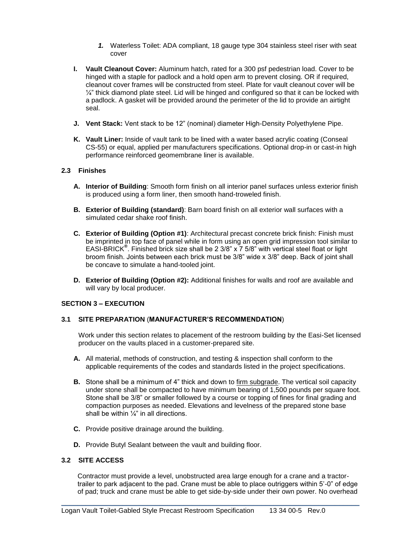- *1.* Waterless Toilet: ADA compliant, 18 gauge type 304 stainless steel riser with seat cover
- **I. Vault Cleanout Cover:** Aluminum hatch, rated for a 300 psf pedestrian load. Cover to be hinged with a staple for padlock and a hold open arm to prevent closing. OR if required, cleanout cover frames will be constructed from steel. Plate for vault cleanout cover will be  $\frac{1}{4}$ " thick diamond plate steel. Lid will be hinged and configured so that it can be locked with a padlock. A gasket will be provided around the perimeter of the lid to provide an airtight seal.
- **J. Vent Stack:** Vent stack to be 12" (nominal) diameter High-Density Polyethylene Pipe.
- **K. Vault Liner:** Inside of vault tank to be lined with a water based acrylic coating (Conseal CS-55) or equal, applied per manufacturers specifications. Optional drop-in or cast-in high performance reinforced geomembrane liner is available.

# **2.3 Finishes**

- **A. Interior of Building**: Smooth form finish on all interior panel surfaces unless exterior finish is produced using a form liner, then smooth hand-troweled finish.
- **B. Exterior of Building (standard)**: Barn board finish on all exterior wall surfaces with a simulated cedar shake roof finish.
- **C. Exterior of Building (Option #1)**: Architectural precast concrete brick finish: Finish must be imprinted in top face of panel while in form using an open grid impression tool similar to EASI-BRICK**®** . Finished brick size shall be 2 3/8" x 7 5/8" with vertical steel float or light broom finish. Joints between each brick must be 3/8" wide x 3/8" deep. Back of joint shall be concave to simulate a hand-tooled joint.
- **D. Exterior of Building (Option #2):** Additional finishes for walls and roof are available and will vary by local producer.

### **SECTION 3 – EXECUTION**

### **3.1 SITE PREPARATION** (**MANUFACTURER'S RECOMMENDATION**)

Work under this section relates to placement of the restroom building by the Easi-Set licensed producer on the vaults placed in a customer-prepared site.

- **A.** All material, methods of construction, and testing & inspection shall conform to the applicable requirements of the codes and standards listed in the project specifications.
- **B.** Stone shall be a minimum of 4" thick and down to firm subgrade. The vertical soil capacity under stone shall be compacted to have minimum bearing of 1,500 pounds per square foot. Stone shall be 3/8" or smaller followed by a course or topping of fines for final grading and compaction purposes as needed. Elevations and levelness of the prepared stone base shall be within  $\frac{1}{4}$ " in all directions.
- **C.** Provide positive drainage around the building.
- **D.** Provide Butyl Sealant between the vault and building floor.

### **3.2 SITE ACCESS**

Contractor must provide a level, unobstructed area large enough for a crane and a tractortrailer to park adjacent to the pad. Crane must be able to place outriggers within 5'-0" of edge of pad; truck and crane must be able to get side-by-side under their own power. No overhead

\_\_\_\_\_\_\_\_\_\_\_\_\_\_\_\_\_\_\_\_\_\_\_\_\_\_\_\_\_\_\_\_\_\_\_\_\_\_\_\_\_\_\_\_\_\_\_\_\_\_\_\_\_\_\_\_\_\_\_\_\_\_\_\_\_\_\_\_\_\_\_\_\_